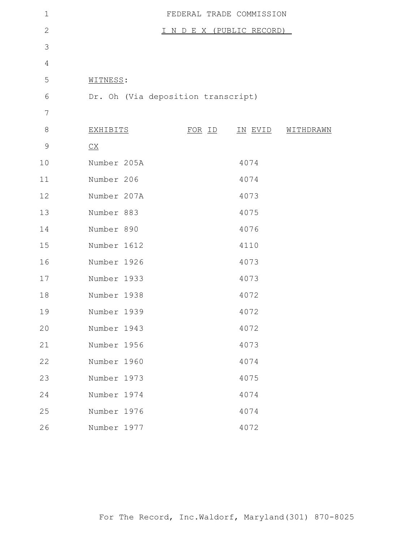| $\mathbf 1$    |                                    | FEDERAL TRADE COMMISSION  |                |           |
|----------------|------------------------------------|---------------------------|----------------|-----------|
| $\overline{2}$ |                                    | I N D E X (PUBLIC RECORD) |                |           |
| 3              |                                    |                           |                |           |
| $\overline{4}$ |                                    |                           |                |           |
| 5              | WITNESS:                           |                           |                |           |
| 6              | Dr. Oh (Via deposition transcript) |                           |                |           |
| 7              |                                    |                           |                |           |
| 8              | <u>EXHIBITS</u>                    | <u>FOR ID</u>             | <u>IN EVID</u> | WITHDRAWN |
| $\mathcal{G}$  | $\underline{CX}$                   |                           |                |           |
| 10             | Number 205A                        |                           | 4074           |           |
| 11             | Number 206                         |                           | 4074           |           |
| 12             | Number 207A                        |                           | 4073           |           |
| 13             | Number 883                         |                           | 4075           |           |
| 14             | Number 890                         |                           | 4076           |           |
| 15             | Number 1612                        |                           | 4110           |           |
| 16             | Number 1926                        |                           | 4073           |           |
| 17             | Number 1933                        |                           | 4073           |           |
| 18             | Number 1938                        |                           | 4072           |           |
| 19             | Number 1939                        |                           | 4072           |           |
| 20             | Number 1943                        |                           | 4072           |           |
| 21             | Number 1956                        |                           | 4073           |           |
| 22             | Number 1960                        |                           | 4074           |           |
| 23             | Number 1973                        |                           | 4075           |           |
| 24             | Number 1974                        |                           | 4074           |           |
| 25             | Number 1976                        |                           | 4074           |           |
| 26             | Number 1977                        |                           | 4072           |           |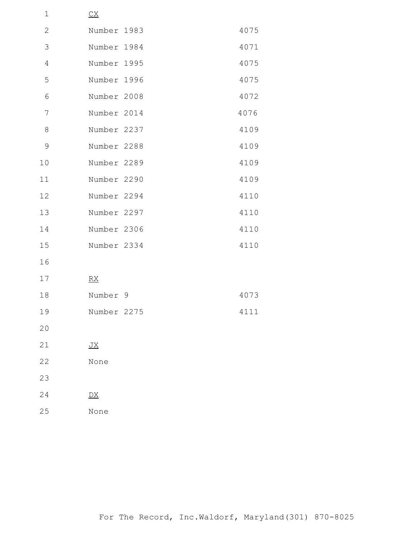| $\mathbf 1$    | $\underline{CX}$        |      |
|----------------|-------------------------|------|
| $\mathbf 2$    | Number 1983             | 4075 |
| 3              | Number 1984             | 4071 |
| $\overline{4}$ | Number 1995             | 4075 |
| 5              | Number 1996             | 4075 |
| 6              | Number 2008             | 4072 |
| 7              | Number 2014             | 4076 |
| 8              | Number 2237             | 4109 |
| $\mathcal{G}$  | Number 2288             | 4109 |
| 10             | Number 2289             | 4109 |
| 11             | Number 2290             | 4109 |
| 12             | Number 2294             | 4110 |
| 13             | Number 2297             | 4110 |
| 14             | Number 2306             | 4110 |
| 15             | Number 2334             | 4110 |
| 16             |                         |      |
| 17             | RX                      |      |
| 18             | Number 9                | 4073 |
| 19             | Number 2275             | 4111 |
| 20             |                         |      |
| 21             | $\underline{\text{JX}}$ |      |
| 22             | None                    |      |
| 23             |                         |      |
| 24             | $\overline{DX}$         |      |
| 25             | None                    |      |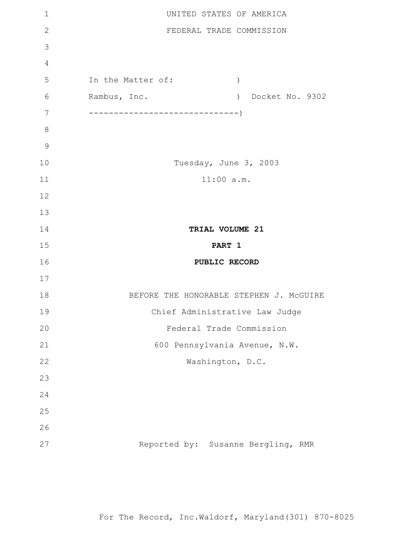| $\mathbf 1$   | UNITED STATES OF AMERICA                |
|---------------|-----------------------------------------|
| $\mathbf{2}$  | FEDERAL TRADE COMMISSION                |
| 3             |                                         |
| 4             |                                         |
| 5             | In the Matter of:<br>$\left( \right)$   |
| 6             | Rambus, Inc.<br>) Docket No. 9302       |
| 7             |                                         |
| $8\,$         |                                         |
| $\mathcal{G}$ |                                         |
| 10            | Tuesday, June 3, 2003                   |
| 11            | $11:00$ a.m.                            |
| 12            |                                         |
| 13            |                                         |
| 14            | TRIAL VOLUME 21                         |
| 15            | PART 1                                  |
| 16            | PUBLIC RECORD                           |
| 17            |                                         |
| 18            | BEFORE THE HONORABLE STEPHEN J. MCGUIRE |
|               |                                         |
| 19            | Chief Administrative Law Judge          |
| 20            | Federal Trade Commission                |
| 21            | 600 Pennsylvania Avenue, N.W.           |
| 22            | Washington, D.C.                        |
| 23            |                                         |
| 24            |                                         |
| 25            |                                         |
| 26            |                                         |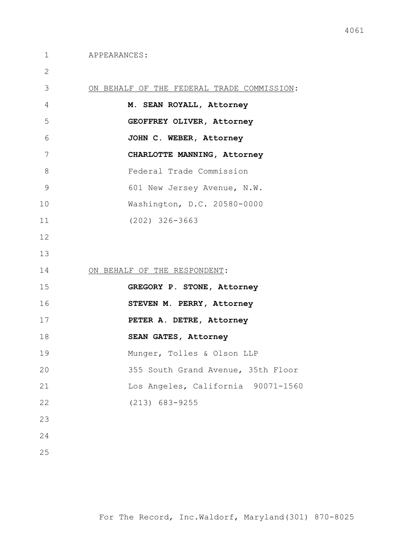| ON BEHALF OF THE FEDERAL TRADE COMMISSION: |
|--------------------------------------------|
| M. SEAN ROYALL, Attorney                   |
| GEOFFREY OLIVER, Attorney                  |
| JOHN C. WEBER, Attorney                    |
| CHARLOTTE MANNING, Attorney                |
| Federal Trade Commission                   |
| 601 New Jersey Avenue, N.W.                |
| Washington, D.C. 20580-0000                |
| $(202)$ 326-3663                           |
|                                            |
|                                            |
| ON BEHALF OF THE RESPONDENT:               |
| GREGORY P. STONE, Attorney                 |
| STEVEN M. PERRY, Attorney                  |
| PETER A. DETRE, Attorney                   |
| SEAN GATES, Attorney                       |
| Munger, Tolles & Olson LLP                 |
| 355 South Grand Avenue, 35th Floor         |
| Los Angeles, California 90071-1560         |
| $(213) 683 - 9255$                         |
|                                            |
|                                            |
|                                            |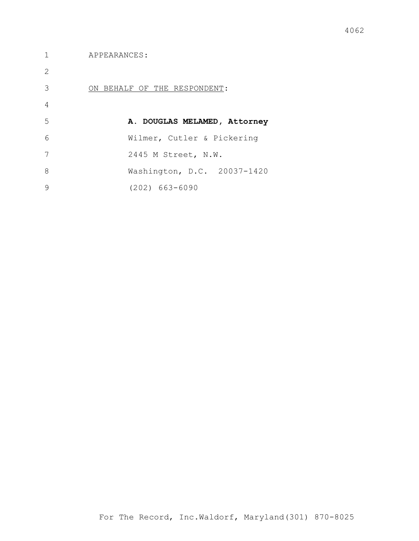APPEARANCES:

| 2 |                              |
|---|------------------------------|
| 3 | ON BEHALF OF THE RESPONDENT: |
| 4 |                              |
| 5 | A. DOUGLAS MELAMED, Attorney |
| 6 | Wilmer, Cutler & Pickering   |
| 7 | 2445 M Street, N.W.          |
| 8 | Washington, D.C. 20037-1420  |
| 9 | $(202)$ 663-6090             |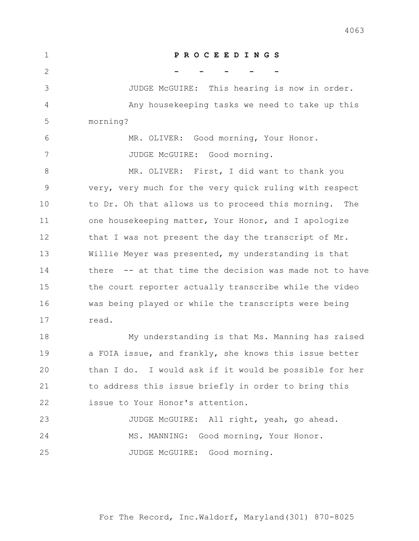| $\mathbf 1$   | PROCEEDINGS                                             |
|---------------|---------------------------------------------------------|
| $\mathbf{2}$  |                                                         |
| 3             | JUDGE McGUIRE: This hearing is now in order.            |
| 4             | Any housekeeping tasks we need to take up this          |
| 5             | morning?                                                |
| 6             | MR. OLIVER: Good morning, Your Honor.                   |
| 7             | JUDGE McGUIRE: Good morning.                            |
| 8             | MR. OLIVER: First, I did want to thank you              |
| $\mathcal{G}$ | very, very much for the very quick ruling with respect  |
| 10            | to Dr. Oh that allows us to proceed this morning. The   |
| 11            | one housekeeping matter, Your Honor, and I apologize    |
| 12            | that I was not present the day the transcript of Mr.    |
| 13            | Willie Meyer was presented, my understanding is that    |
| 14            | there -- at that time the decision was made not to have |
| 15            | the court reporter actually transcribe while the video  |
| 16            | was being played or while the transcripts were being    |
| 17            | read.                                                   |
| 18            | My understanding is that Ms. Manning has raised         |
| 19            | a FOIA issue, and frankly, she knows this issue better  |
| 20            | than I do. I would ask if it would be possible for her  |
| 21            | to address this issue briefly in order to bring this    |
| 22            | issue to Your Honor's attention.                        |
| 23            | JUDGE McGUIRE: All right, yeah, go ahead.               |
| 24            | MS. MANNING: Good morning, Your Honor.                  |
| 25            | JUDGE McGUIRE: Good morning.                            |

For The Record, Inc.Waldorf, Maryland(301) 870-8025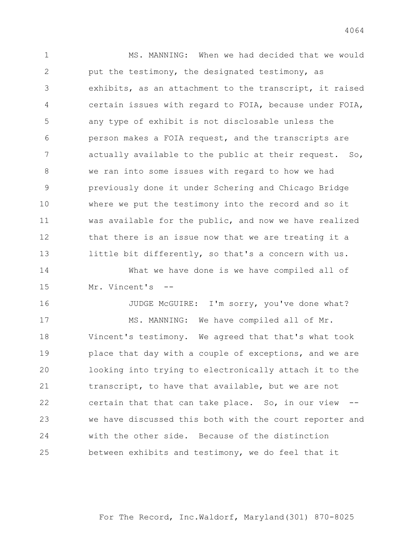1 MS. MANNING: When we had decided that we would put the testimony, the designated testimony, as exhibits, as an attachment to the transcript, it raised certain issues with regard to FOIA, because under FOIA, any type of exhibit is not disclosable unless the person makes a FOIA request, and the transcripts are actually available to the public at their request. So, we ran into some issues with regard to how we had previously done it under Schering and Chicago Bridge where we put the testimony into the record and so it was available for the public, and now we have realized that there is an issue now that we are treating it a little bit differently, so that's a concern with us.

14 What we have done is we have compiled all of Mr. Vincent's --

16 JUDGE McGUIRE: I'm sorry, you've done what? 17 MS. MANNING: We have compiled all of Mr. Vincent's testimony. We agreed that that's what took place that day with a couple of exceptions, and we are looking into trying to electronically attach it to the transcript, to have that available, but we are not certain that that can take place. So, in our view -- we have discussed this both with the court reporter and with the other side. Because of the distinction between exhibits and testimony, we do feel that it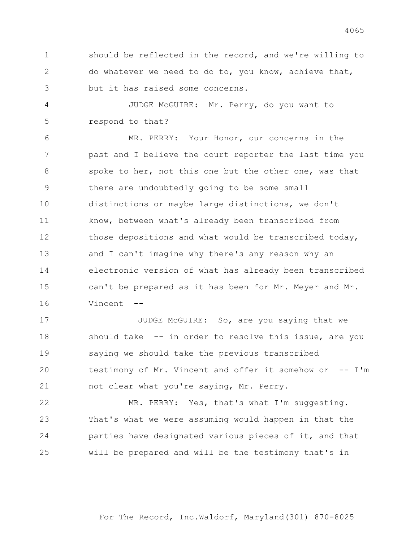should be reflected in the record, and we're willing to do whatever we need to do to, you know, achieve that, but it has raised some concerns.

4 JUDGE McGUIRE: Mr. Perry, do you want to respond to that?

6 MR. PERRY: Your Honor, our concerns in the past and I believe the court reporter the last time you 8 spoke to her, not this one but the other one, was that there are undoubtedly going to be some small distinctions or maybe large distinctions, we don't know, between what's already been transcribed from those depositions and what would be transcribed today, and I can't imagine why there's any reason why an electronic version of what has already been transcribed can't be prepared as it has been for Mr. Meyer and Mr. Vincent --

**JUDGE McGUIRE:** So, are you saying that we should take -- in order to resolve this issue, are you saying we should take the previous transcribed testimony of Mr. Vincent and offer it somehow or -- I'm not clear what you're saying, Mr. Perry.

22 MR. PERRY: Yes, that's what I'm suggesting. That's what we were assuming would happen in that the parties have designated various pieces of it, and that will be prepared and will be the testimony that's in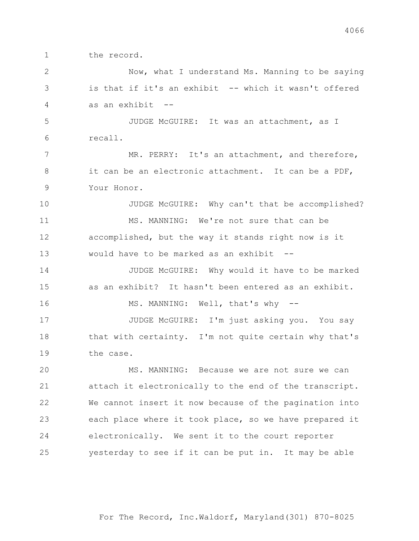1 the record.

2 Now, what I understand Ms. Manning to be saying 3 is that if it's an exhibit -- which it wasn't offered 4 as an exhibit --

5 JUDGE McGUIRE: It was an attachment, as I 6 recall.

7 MR. PERRY: It's an attachment, and therefore, 8 it can be an electronic attachment. It can be a PDF, 9 Your Honor.

10 JUDGE McGUIRE: Why can't that be accomplished? 11 MS. MANNING: We're not sure that can be 12 accomplished, but the way it stands right now is it 13 would have to be marked as an exhibit --

14 JUDGE McGUIRE: Why would it have to be marked 15 as an exhibit? It hasn't been entered as an exhibit. 16 MS. MANNING: Well, that's why --

17 JUDGE McGUIRE: I'm just asking you. You say 18 that with certainty. I'm not quite certain why that's 19 the case.

20 MS. MANNING: Because we are not sure we can attach it electronically to the end of the transcript. We cannot insert it now because of the pagination into each place where it took place, so we have prepared it electronically. We sent it to the court reporter yesterday to see if it can be put in. It may be able

For The Record, Inc.Waldorf, Maryland(301) 870-8025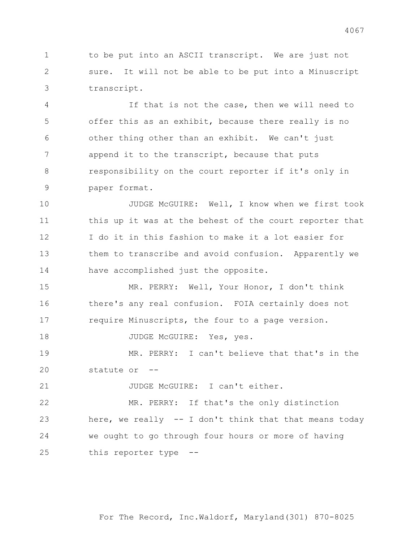to be put into an ASCII transcript. We are just not sure. It will not be able to be put into a Minuscript transcript.

4 If that is not the case, then we will need to offer this as an exhibit, because there really is no other thing other than an exhibit. We can't just append it to the transcript, because that puts responsibility on the court reporter if it's only in paper format.

10 JUDGE McGUIRE: Well, I know when we first took this up it was at the behest of the court reporter that I do it in this fashion to make it a lot easier for them to transcribe and avoid confusion. Apparently we have accomplished just the opposite.

15 MR. PERRY: Well, Your Honor, I don't think there's any real confusion. FOIA certainly does not require Minuscripts, the four to a page version.

18 JUDGE McGUIRE: Yes, yes.

19 MR. PERRY: I can't believe that that's in the statute or --

21 JUDGE McGUIRE: I can't either.

22 MR. PERRY: If that's the only distinction here, we really -- I don't think that that means today we ought to go through four hours or more of having this reporter type --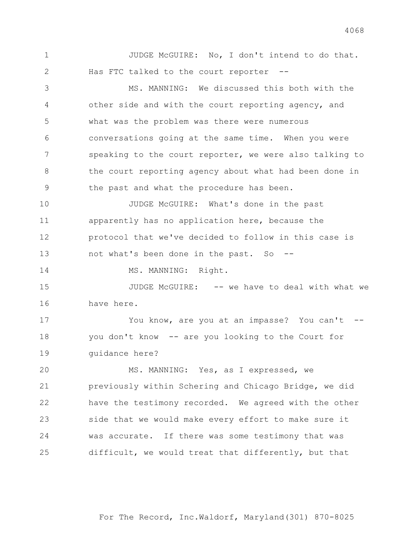1 JUDGE McGUIRE: No, I don't intend to do that. Has FTC talked to the court reporter --

3 MS. MANNING: We discussed this both with the other side and with the court reporting agency, and what was the problem was there were numerous conversations going at the same time. When you were speaking to the court reporter, we were also talking to 8 the court reporting agency about what had been done in the past and what the procedure has been.

**JUDGE McGUIRE:** What's done in the past apparently has no application here, because the protocol that we've decided to follow in this case is 13 not what's been done in the past. So --

14 MS. MANNING: Right.

15 JUDGE McGUIRE: -- we have to deal with what we have here.

17 You know, are you at an impasse? You can't -- you don't know -- are you looking to the Court for guidance here?

20 MS. MANNING: Yes, as I expressed, we previously within Schering and Chicago Bridge, we did have the testimony recorded. We agreed with the other side that we would make every effort to make sure it was accurate. If there was some testimony that was difficult, we would treat that differently, but that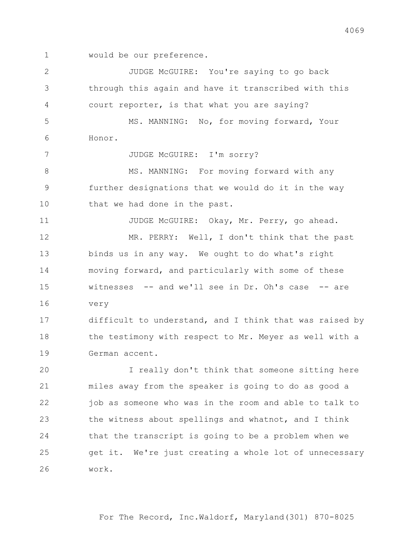would be our preference.

2 JUDGE McGUIRE: You're saying to go back through this again and have it transcribed with this court reporter, is that what you are saying? 5 MS. MANNING: No, for moving forward, Your Honor. 7 JUDGE McGUIRE: I'm sorry? 8 MS. MANNING: For moving forward with any further designations that we would do it in the way 10 that we had done in the past. 11 JUDGE McGUIRE: Okay, Mr. Perry, go ahead. 12 MR. PERRY: Well, I don't think that the past binds us in any way. We ought to do what's right moving forward, and particularly with some of these witnesses -- and we'll see in Dr. Oh's case -- are very difficult to understand, and I think that was raised by 18 the testimony with respect to Mr. Meyer as well with a German accent. 20 I really don't think that someone sitting here miles away from the speaker is going to do as good a 22 job as someone who was in the room and able to talk to the witness about spellings and whatnot, and I think that the transcript is going to be a problem when we get it. We're just creating a whole lot of unnecessary work.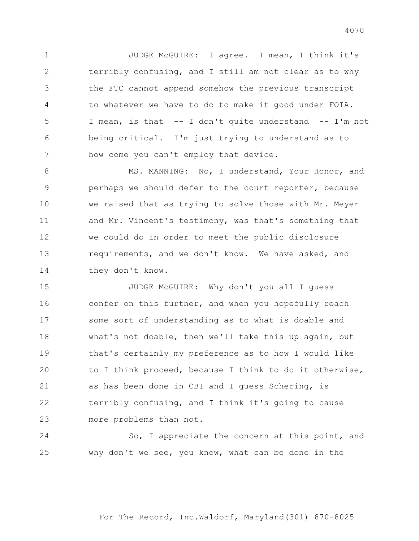1 JUDGE McGUIRE: I agree. I mean, I think it's terribly confusing, and I still am not clear as to why the FTC cannot append somehow the previous transcript to whatever we have to do to make it good under FOIA. I mean, is that -- I don't quite understand -- I'm not being critical. I'm just trying to understand as to how come you can't employ that device.

8 MS. MANNING: No, I understand, Your Honor, and perhaps we should defer to the court reporter, because we raised that as trying to solve those with Mr. Meyer and Mr. Vincent's testimony, was that's something that we could do in order to meet the public disclosure requirements, and we don't know. We have asked, and 14 they don't know.

15 JUDGE McGUIRE: Why don't you all I quess confer on this further, and when you hopefully reach some sort of understanding as to what is doable and what's not doable, then we'll take this up again, but that's certainly my preference as to how I would like to I think proceed, because I think to do it otherwise, as has been done in CBI and I guess Schering, is terribly confusing, and I think it's going to cause more problems than not.

24 So, I appreciate the concern at this point, and why don't we see, you know, what can be done in the

For The Record, Inc.Waldorf, Maryland(301) 870-8025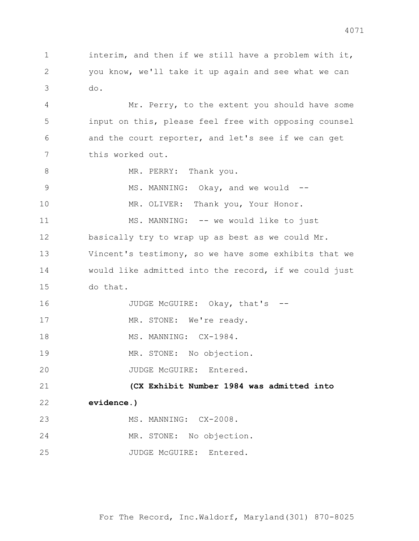2 you know, we'll take it up again and see what we can 3 do. 4 Mr. Perry, to the extent you should have some 5 input on this, please feel free with opposing counsel 6 and the court reporter, and let's see if we can get 7 this worked out. 8 MR. PERRY: Thank you. 9 MS. MANNING: Okay, and we would --10 MR. OLIVER: Thank you, Your Honor. 11 MS. MANNING: -- we would like to just 12 basically try to wrap up as best as we could Mr. 13 Vincent's testimony, so we have some exhibits that we 14 would like admitted into the record, if we could just 15 do that. 16 JUDGE McGUIRE: Okay, that's --17 MR. STONE: We're ready. 18 MS. MANNING: CX-1984. 19 MR. STONE: No objection. 20 JUDGE McGUIRE: Entered. 21 **(CX Exhibit Number 1984 was admitted into**  22 **evidence.)**

1 interim, and then if we still have a problem with it,

- 23 MS. MANNING: CX-2008. 24 MR. STONE: No objection.
- 25 JUDGE McGUIRE: Entered.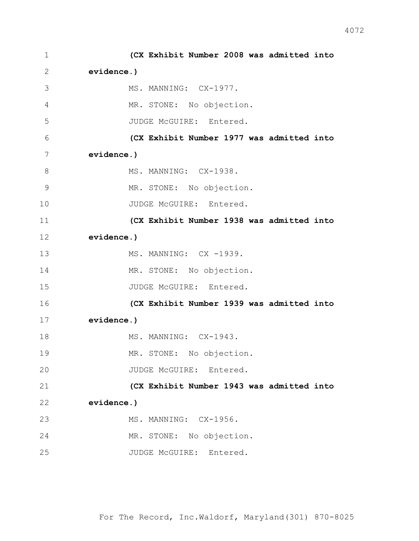| 1  | (CX Exhibit Number 2008 was admitted into |
|----|-------------------------------------------|
| 2  | evidence.)                                |
| 3  | MS. MANNING: CX-1977.                     |
| 4  | MR. STONE: No objection.                  |
| 5  | JUDGE McGUIRE: Entered.                   |
| 6  | (CX Exhibit Number 1977 was admitted into |
| 7  | evidence.)                                |
| 8  | MS. MANNING: CX-1938.                     |
| 9  | MR. STONE: No objection.                  |
| 10 | JUDGE McGUIRE: Entered.                   |
| 11 | (CX Exhibit Number 1938 was admitted into |
| 12 | evidence.)                                |
| 13 | MS. MANNING: CX -1939.                    |
| 14 | MR. STONE: No objection.                  |
| 15 | JUDGE McGUIRE: Entered.                   |
| 16 | (CX Exhibit Number 1939 was admitted into |
| 17 | evidence.)                                |
| 18 | MS. MANNING: CX-1943.                     |
| 19 | MR. STONE: No objection.                  |
| 20 | JUDGE McGUIRE: Entered.                   |
| 21 | (CX Exhibit Number 1943 was admitted into |
| 22 | evidence.)                                |
| 23 | MS. MANNING: CX-1956.                     |
| 24 | MR. STONE: No objection.                  |
| 25 | JUDGE McGUIRE: Entered.                   |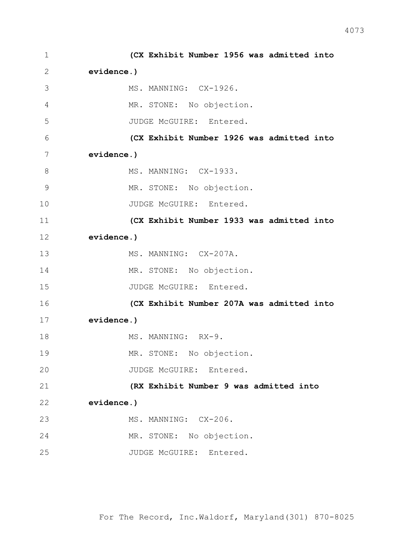| $\mathbf 1$  | (CX Exhibit Number 1956 was admitted into |
|--------------|-------------------------------------------|
| $\mathbf{2}$ | evidence.)                                |
| 3            | MS. MANNING: CX-1926.                     |
| 4            | MR. STONE: No objection.                  |
| 5            | JUDGE McGUIRE: Entered.                   |
| 6            | (CX Exhibit Number 1926 was admitted into |
| 7            | evidence.)                                |
| 8            | MS. MANNING: CX-1933.                     |
| 9            | MR. STONE: No objection.                  |
| 10           | JUDGE McGUIRE: Entered.                   |
| 11           | (CX Exhibit Number 1933 was admitted into |
| 12           | evidence.)                                |
| 13           | MS. MANNING: CX-207A.                     |
| 14           | MR. STONE: No objection.                  |
| 15           | JUDGE McGUIRE: Entered.                   |
| 16           | (CX Exhibit Number 207A was admitted into |
| 17           | evidence.)                                |
| 18           | MS. MANNING: RX-9.                        |
| 19           | MR. STONE: No objection.                  |
| 20           | JUDGE McGUIRE: Entered.                   |
| 21           | (RX Exhibit Number 9 was admitted into    |
| 22           | evidence.)                                |
| 23           | MS. MANNING: CX-206.                      |
| 24           | MR. STONE: No objection.                  |
| 25           | JUDGE McGUIRE: Entered.                   |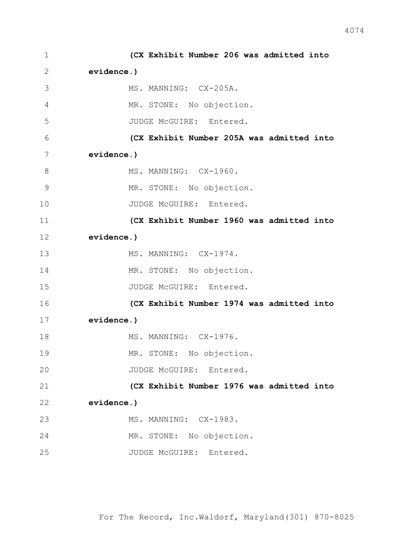| $\mathbf 1$ | (CX Exhibit Number 206 was admitted into  |
|-------------|-------------------------------------------|
| 2           | evidence.)                                |
| 3           | MS. MANNING: CX-205A.                     |
| 4           | MR. STONE: No objection.                  |
| 5           | JUDGE McGUIRE: Entered.                   |
| 6           | (CX Exhibit Number 205A was admitted into |
| 7           | evidence.)                                |
| 8           | MS. MANNING: CX-1960.                     |
| 9           | MR. STONE: No objection.                  |
| 10          | JUDGE McGUIRE: Entered.                   |
| 11          | (CX Exhibit Number 1960 was admitted into |
| 12          | evidence.)                                |
| 13          | MS. MANNING: CX-1974.                     |
| 14          | MR. STONE: No objection.                  |
| 15          | JUDGE McGUIRE: Entered.                   |
| 16          | (CX Exhibit Number 1974 was admitted into |
| 17          | evidence.)                                |
| 18          | MS. MANNING: CX-1976.                     |
| 19          | MR. STONE: No objection.                  |
| 20          | JUDGE McGUIRE: Entered.                   |
| 21          | (CX Exhibit Number 1976 was admitted into |
| 22          | evidence.)                                |
| 23          | MS. MANNING: CX-1983.                     |
| 24          | MR. STONE: No objection.                  |
| 25          | JUDGE McGUIRE: Entered.                   |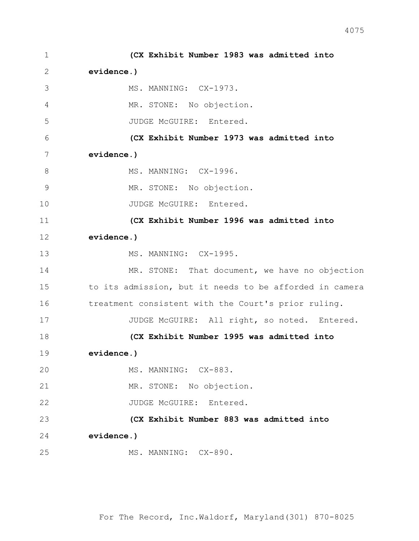1 **(CX Exhibit Number 1983 was admitted into**  2 **evidence.)** 3 MS. MANNING: CX-1973. 4 MR. STONE: No objection. 5 JUDGE McGUIRE: Entered. 6 **(CX Exhibit Number 1973 was admitted into**  7 **evidence.)** 8 MS. MANNING: CX-1996. 9 MR. STONE: No objection. 10 JUDGE McGUIRE: Entered. 11 **(CX Exhibit Number 1996 was admitted into**  12 **evidence.)** 13 MS. MANNING: CX-1995. 14 MR. STONE: That document, we have no objection 15 to its admission, but it needs to be afforded in camera 16 treatment consistent with the Court's prior ruling. 17 JUDGE McGUIRE: All right, so noted. Entered. 18 **(CX Exhibit Number 1995 was admitted into**  19 **evidence.)** 20 MS. MANNING: CX-883. 21 MR. STONE: No objection. 22 JUDGE McGUIRE: Entered. 23 **(CX Exhibit Number 883 was admitted into**  24 **evidence.)** 25 MS. MANNING: CX-890.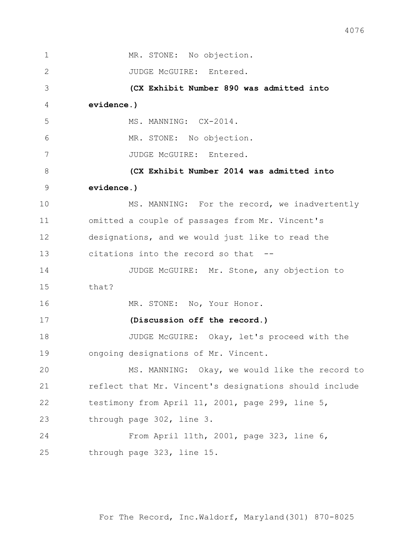| $\mathbf{1}$ | MR. STONE: No objection.                               |
|--------------|--------------------------------------------------------|
| 2            | JUDGE McGUIRE: Entered.                                |
| 3            | (CX Exhibit Number 890 was admitted into               |
| 4            | evidence.)                                             |
| 5            | MS. MANNING: CX-2014.                                  |
| 6            | MR. STONE: No objection.                               |
| 7            | JUDGE McGUIRE: Entered.                                |
| 8            | (CX Exhibit Number 2014 was admitted into              |
| 9            | evidence.)                                             |
| 10           | MS. MANNING: For the record, we inadvertently          |
| 11           | omitted a couple of passages from Mr. Vincent's        |
| 12           | designations, and we would just like to read the       |
| 13           | citations into the record so that --                   |
| 14           | JUDGE McGUIRE: Mr. Stone, any objection to             |
| 15           | that?                                                  |
| 16           | MR. STONE: No, Your Honor.                             |
| 17           | (Discussion off the record.)                           |
| 18           | JUDGE McGUIRE: Okay, let's proceed with the            |
| 19           | ongoing designations of Mr. Vincent.                   |
| 20           | MS. MANNING: Okay, we would like the record to         |
| 21           | reflect that Mr. Vincent's designations should include |
| 22           | testimony from April 11, 2001, page 299, line 5,       |
| 23           | through page 302, line 3.                              |
| 24           | From April 11th, 2001, page 323, line 6,               |
| 25           | through page 323, line 15.                             |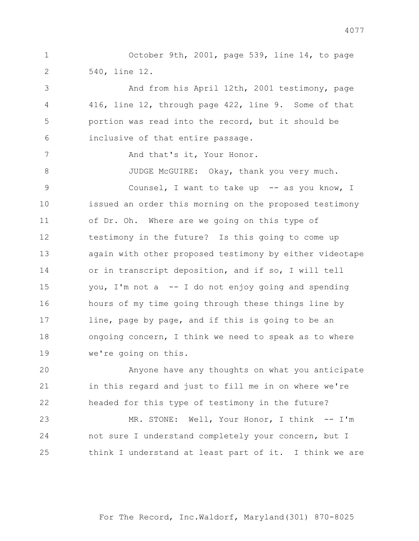1 October 9th, 2001, page 539, line 14, to page 540, line 12.

3 And from his April 12th, 2001 testimony, page 416, line 12, through page 422, line 9. Some of that portion was read into the record, but it should be inclusive of that entire passage.

7 And that's it, Your Honor.

8 JUDGE McGUIRE: Okay, thank you very much.

9 Counsel, I want to take up -- as you know, I issued an order this morning on the proposed testimony of Dr. Oh. Where are we going on this type of testimony in the future? Is this going to come up again with other proposed testimony by either videotape or in transcript deposition, and if so, I will tell you, I'm not a -- I do not enjoy going and spending hours of my time going through these things line by line, page by page, and if this is going to be an 18 ongoing concern, I think we need to speak as to where we're going on this.

20 Anyone have any thoughts on what you anticipate in this regard and just to fill me in on where we're headed for this type of testimony in the future?

23 MR. STONE: Well, Your Honor, I think -- I'm not sure I understand completely your concern, but I think I understand at least part of it. I think we are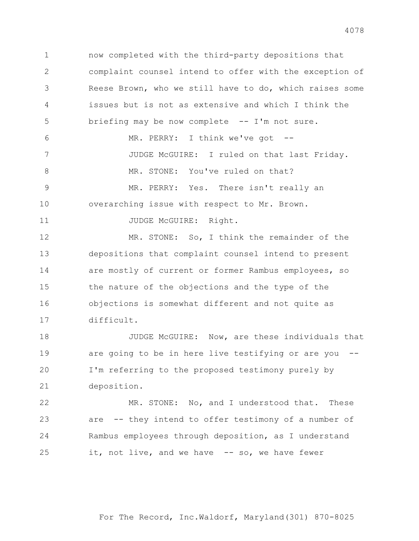now completed with the third-party depositions that complaint counsel intend to offer with the exception of Reese Brown, who we still have to do, which raises some issues but is not as extensive and which I think the briefing may be now complete -- I'm not sure. 6 MR. PERRY: I think we've got -- 7 JUDGE McGUIRE: I ruled on that last Friday. 8 MR. STONE: You've ruled on that? 9 MR. PERRY: Yes. There isn't really an overarching issue with respect to Mr. Brown. 11 JUDGE McGUIRE: Right. 12 MR. STONE: So, I think the remainder of the depositions that complaint counsel intend to present 14 are mostly of current or former Rambus employees, so the nature of the objections and the type of the objections is somewhat different and not quite as difficult. **JUDGE McGUIRE:** Now, are these individuals that

19 are going to be in here live testifying or are you I'm referring to the proposed testimony purely by deposition.

22 MR. STONE: No, and I understood that. These are -- they intend to offer testimony of a number of Rambus employees through deposition, as I understand it, not live, and we have -- so, we have fewer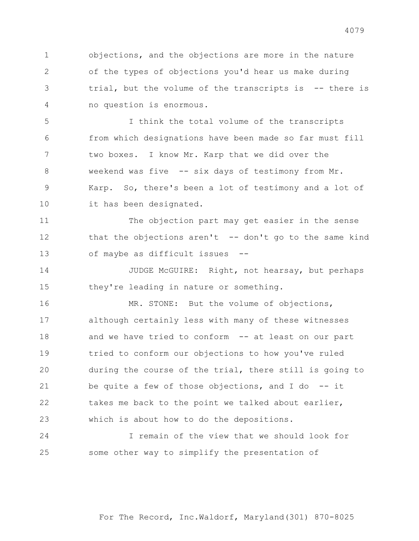objections, and the objections are more in the nature of the types of objections you'd hear us make during trial, but the volume of the transcripts is -- there is no question is enormous.

5 I think the total volume of the transcripts from which designations have been made so far must fill two boxes. I know Mr. Karp that we did over the weekend was five -- six days of testimony from Mr. Karp. So, there's been a lot of testimony and a lot of it has been designated.

11 The objection part may get easier in the sense that the objections aren't -- don't go to the same kind of maybe as difficult issues --

14 JUDGE McGUIRE: Right, not hearsay, but perhaps they're leading in nature or something.

16 MR. STONE: But the volume of objections, although certainly less with many of these witnesses and we have tried to conform -- at least on our part tried to conform our objections to how you've ruled during the course of the trial, there still is going to be quite a few of those objections, and I do -- it 22 takes me back to the point we talked about earlier, which is about how to do the depositions.

24 I remain of the view that we should look for some other way to simplify the presentation of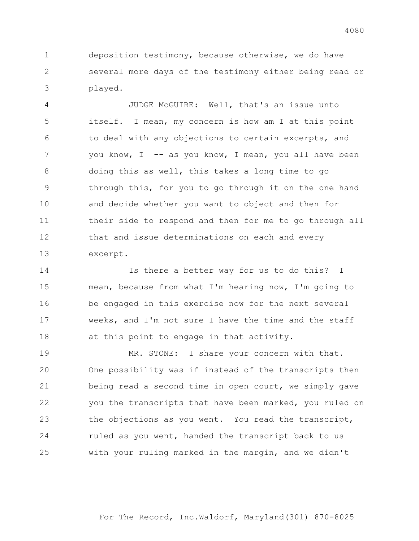deposition testimony, because otherwise, we do have several more days of the testimony either being read or played.

4 JUDGE McGUIRE: Well, that's an issue unto itself. I mean, my concern is how am I at this point to deal with any objections to certain excerpts, and 7 you know, I -- as you know, I mean, you all have been doing this as well, this takes a long time to go through this, for you to go through it on the one hand and decide whether you want to object and then for their side to respond and then for me to go through all that and issue determinations on each and every excerpt.

14 Is there a better way for us to do this? I mean, because from what I'm hearing now, I'm going to be engaged in this exercise now for the next several weeks, and I'm not sure I have the time and the staff 18 at this point to engage in that activity.

19 MR. STONE: I share your concern with that. One possibility was if instead of the transcripts then being read a second time in open court, we simply gave you the transcripts that have been marked, you ruled on the objections as you went. You read the transcript, 24 ruled as you went, handed the transcript back to us with your ruling marked in the margin, and we didn't

For The Record, Inc.Waldorf, Maryland(301) 870-8025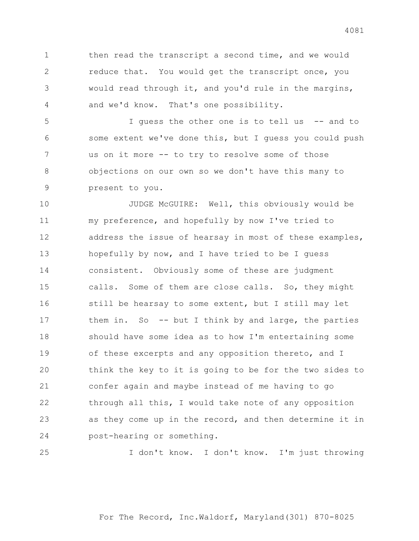1 then read the transcript a second time, and we would reduce that. You would get the transcript once, you would read through it, and you'd rule in the margins, and we'd know. That's one possibility.

5 I guess the other one is to tell us -- and to some extent we've done this, but I guess you could push us on it more -- to try to resolve some of those objections on our own so we don't have this many to present to you.

10 JUDGE McGUIRE: Well, this obviously would be my preference, and hopefully by now I've tried to address the issue of hearsay in most of these examples, hopefully by now, and I have tried to be I guess consistent. Obviously some of these are judgment calls. Some of them are close calls. So, they might 16 still be hearsay to some extent, but I still may let 17 them in. So -- but I think by and large, the parties should have some idea as to how I'm entertaining some of these excerpts and any opposition thereto, and I think the key to it is going to be for the two sides to confer again and maybe instead of me having to go through all this, I would take note of any opposition as they come up in the record, and then determine it in post-hearing or something.

25 I don't know. I don't know. I'm just throwing

For The Record, Inc.Waldorf, Maryland(301) 870-8025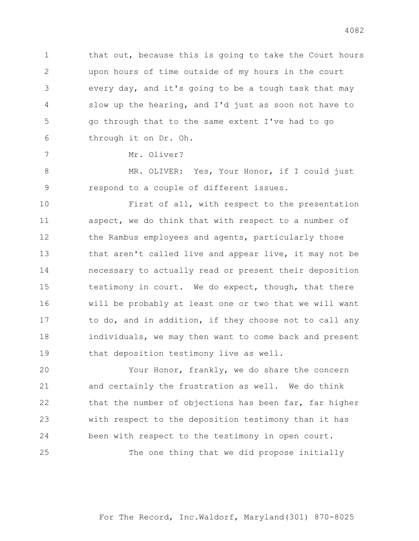1 that out, because this is going to take the Court hours upon hours of time outside of my hours in the court every day, and it's going to be a tough task that may slow up the hearing, and I'd just as soon not have to go through that to the same extent I've had to go through it on Dr. Oh.

7 Mr. Oliver?

8 MR. OLIVER: Yes, Your Honor, if I could just 9 respond to a couple of different issues.

10 First of all, with respect to the presentation 11 aspect, we do think that with respect to a number of 12 the Rambus employees and agents, particularly those 13 that aren't called live and appear live, it may not be 14 necessary to actually read or present their deposition 15 testimony in court. We do expect, though, that there 16 will be probably at least one or two that we will want 17 to do, and in addition, if they choose not to call any 18 individuals, we may then want to come back and present 19 that deposition testimony live as well.

20 Your Honor, frankly, we do share the concern 21 and certainly the frustration as well. We do think 22 that the number of objections has been far, far higher 23 with respect to the deposition testimony than it has 24 been with respect to the testimony in open court. 25 The one thing that we did propose initially

For The Record, Inc.Waldorf, Maryland(301) 870-8025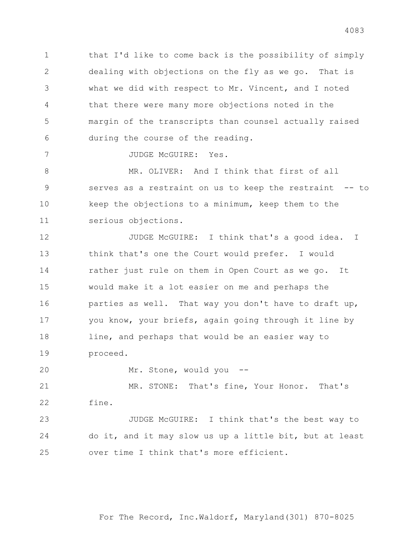that I'd like to come back is the possibility of simply dealing with objections on the fly as we go. That is what we did with respect to Mr. Vincent, and I noted that there were many more objections noted in the margin of the transcripts than counsel actually raised during the course of the reading.

7 JUDGE McGUIRE: Yes.

8 MR. OLIVER: And I think that first of all 9 serves as a restraint on us to keep the restraint -- to keep the objections to a minimum, keep them to the serious objections.

12 JUDGE McGUIRE: I think that's a good idea. I think that's one the Court would prefer. I would rather just rule on them in Open Court as we go. It would make it a lot easier on me and perhaps the 16 parties as well. That way you don't have to draft up, you know, your briefs, again going through it line by 18 line, and perhaps that would be an easier way to proceed.

20 Mr. Stone, would you --

21 MR. STONE: That's fine, Your Honor. That's fine.

23 JUDGE McGUIRE: I think that's the best way to do it, and it may slow us up a little bit, but at least over time I think that's more efficient.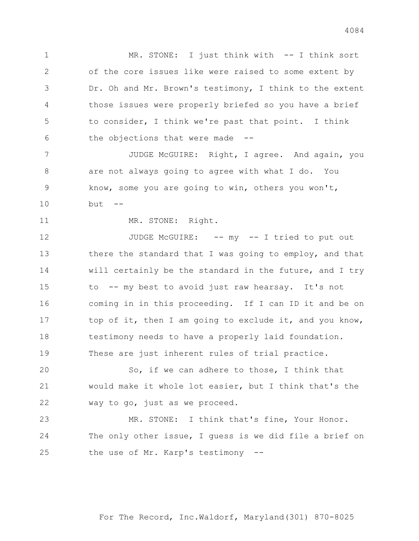1 MR. STONE: I just think with -- I think sort of the core issues like were raised to some extent by Dr. Oh and Mr. Brown's testimony, I think to the extent those issues were properly briefed so you have a brief to consider, I think we're past that point. I think the objections that were made --

7 JUDGE McGUIRE: Right, I agree. And again, you are not always going to agree with what I do. You know, some you are going to win, others you won't, but --

11 MR. STONE: Right.

12 JUDGE McGUIRE: -- my -- I tried to put out 13 there the standard that I was going to employ, and that will certainly be the standard in the future, and I try to -- my best to avoid just raw hearsay. It's not coming in in this proceeding. If I can ID it and be on 17 top of it, then I am going to exclude it, and you know, testimony needs to have a properly laid foundation. These are just inherent rules of trial practice.

20 So, if we can adhere to those, I think that would make it whole lot easier, but I think that's the way to go, just as we proceed.

23 MR. STONE: I think that's fine, Your Honor. The only other issue, I guess is we did file a brief on the use of Mr. Karp's testimony --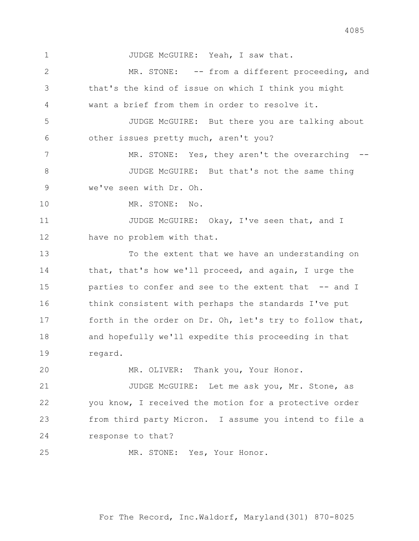1 JUDGE McGUIRE: Yeah, I saw that. 2 MR. STONE: -- from a different proceeding, and 3 that's the kind of issue on which I think you might 4 want a brief from them in order to resolve it. 5 JUDGE McGUIRE: But there you are talking about 6 other issues pretty much, aren't you? 7 MR. STONE: Yes, they aren't the overarching --8 JUDGE McGUIRE: But that's not the same thing 9 we've seen with Dr. Oh. 10 MR. STONE: No. 11 JUDGE McGUIRE: Okay, I've seen that, and I 12 have no problem with that. 13 To the extent that we have an understanding on 14 that, that's how we'll proceed, and again, I urge the 15 parties to confer and see to the extent that -- and I 16 think consistent with perhaps the standards I've put 17 forth in the order on Dr. Oh, let's try to follow that, 18 and hopefully we'll expedite this proceeding in that 19 regard. 20 MR. OLIVER: Thank you, Your Honor. 21 JUDGE McGUIRE: Let me ask you, Mr. Stone, as 22 you know, I received the motion for a protective order 23 from third party Micron. I assume you intend to file a 24 response to that? 25 MR. STONE: Yes, Your Honor.

For The Record, Inc.Waldorf, Maryland(301) 870-8025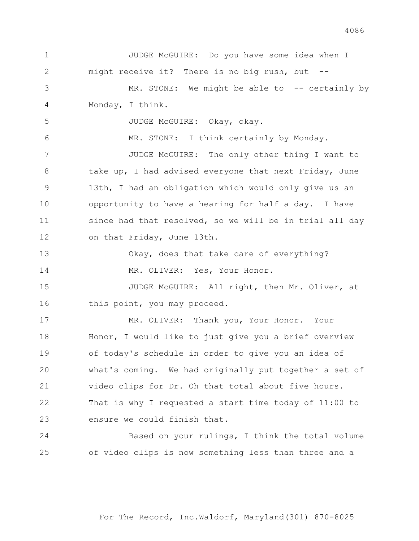2 might receive it? There is no big rush, but -- 3 MR. STONE: We might be able to -- certainly by 4 Monday, I think. 5 JUDGE McGUIRE: Okay, okay. 6 MR. STONE: I think certainly by Monday. 7 JUDGE McGUIRE: The only other thing I want to 8 take up, I had advised everyone that next Friday, June 9 13th, I had an obligation which would only give us an 10 opportunity to have a hearing for half a day. I have 11 since had that resolved, so we will be in trial all day 12 on that Friday, June 13th. 13 Okay, does that take care of everything? 14 MR. OLIVER: Yes, Your Honor. 15 JUDGE McGUIRE: All right, then Mr. Oliver, at 16 this point, you may proceed. 17 MR. OLIVER: Thank you, Your Honor. Your 18 Honor, I would like to just give you a brief overview 19 of today's schedule in order to give you an idea of 20 what's coming. We had originally put together a set of 21 video clips for Dr. Oh that total about five hours. 22 That is why I requested a start time today of 11:00 to 23 ensure we could finish that. 24 Based on your rulings, I think the total volume 25 of video clips is now something less than three and a

1 JUDGE McGUIRE: Do you have some idea when I

For The Record, Inc.Waldorf, Maryland(301) 870-8025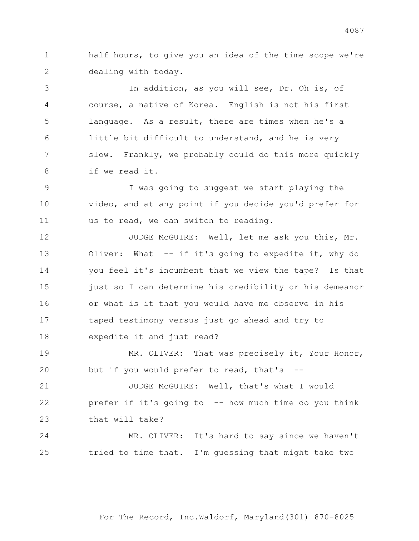half hours, to give you an idea of the time scope we're dealing with today.

3 In addition, as you will see, Dr. Oh is, of course, a native of Korea. English is not his first language. As a result, there are times when he's a little bit difficult to understand, and he is very slow. Frankly, we probably could do this more quickly if we read it.

9 I was going to suggest we start playing the video, and at any point if you decide you'd prefer for us to read, we can switch to reading.

12 JUDGE McGUIRE: Well, let me ask you this, Mr. 13 Oliver: What -- if it's going to expedite it, why do you feel it's incumbent that we view the tape? Is that 15 just so I can determine his credibility or his demeanor or what is it that you would have me observe in his taped testimony versus just go ahead and try to expedite it and just read?

19 MR. OLIVER: That was precisely it, Your Honor, but if you would prefer to read, that's --

21 JUDGE McGUIRE: Well, that's what I would prefer if it's going to -- how much time do you think that will take?

24 MR. OLIVER: It's hard to say since we haven't tried to time that. I'm guessing that might take two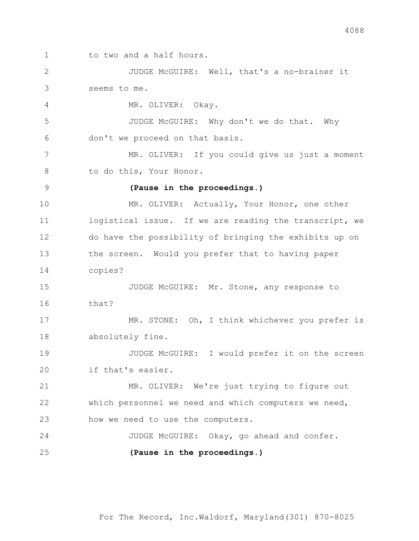1 to two and a half hours.

2 JUDGE McGUIRE: Well, that's a no-brainer it 3 seems to me.

4 MR. OLIVER: Okay.

5 JUDGE McGUIRE: Why don't we do that. Why 6 don't we proceed on that basis.

7 MR. OLIVER: If you could give us just a moment 8 to do this, Your Honor.

## 9 **(Pause in the proceedings.)**

10 MR. OLIVER: Actually, Your Honor, one other 11 logistical issue. If we are reading the transcript, we 12 do have the possibility of bringing the exhibits up on 13 the screen. Would you prefer that to having paper 14 copies?

15 JUDGE McGUIRE: Mr. Stone, any response to  $16$  that?

17 MR. STONE: Oh, I think whichever you prefer is 18 absolutely fine.

19 JUDGE McGUIRE: I would prefer it on the screen 20 if that's easier.

21 MR. OLIVER: We're just trying to figure out 22 which personnel we need and which computers we need, 23 how we need to use the computers.

24 JUDGE McGUIRE: Okay, go ahead and confer. 25 **(Pause in the proceedings.)**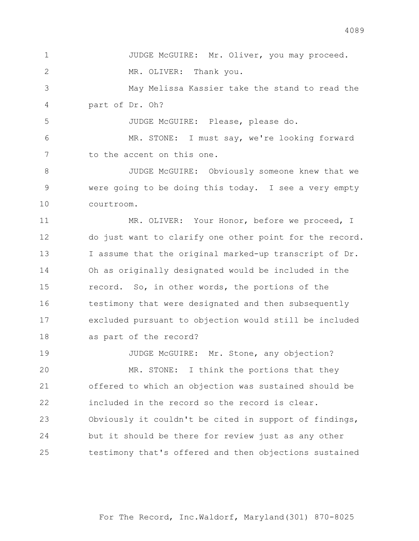1 JUDGE McGUIRE: Mr. Oliver, you may proceed. 2 MR. OLIVER: Thank you. 3 May Melissa Kassier take the stand to read the 4 part of Dr. Oh? 5 JUDGE McGUIRE: Please, please do.

6 MR. STONE: I must say, we're looking forward 7 to the accent on this one.

8 JUDGE McGUIRE: Obviously someone knew that we 9 were going to be doing this today. I see a very empty 10 courtroom.

11 MR. OLIVER: Your Honor, before we proceed, I do just want to clarify one other point for the record. I assume that the original marked-up transcript of Dr. Oh as originally designated would be included in the record. So, in other words, the portions of the testimony that were designated and then subsequently excluded pursuant to objection would still be included as part of the record?

19 JUDGE McGUIRE: Mr. Stone, any objection? 20 MR. STONE: I think the portions that they offered to which an objection was sustained should be included in the record so the record is clear. Obviously it couldn't be cited in support of findings, but it should be there for review just as any other testimony that's offered and then objections sustained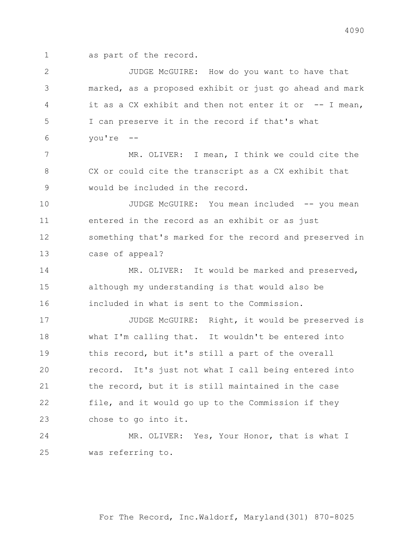as part of the record.

2 JUDGE McGUIRE: How do you want to have that marked, as a proposed exhibit or just go ahead and mark it as a CX exhibit and then not enter it or -- I mean, I can preserve it in the record if that's what you're --

7 MR. OLIVER: I mean, I think we could cite the CX or could cite the transcript as a CX exhibit that would be included in the record.

10 JUDGE McGUIRE: You mean included -- you mean entered in the record as an exhibit or as just something that's marked for the record and preserved in case of appeal?

14 MR. OLIVER: It would be marked and preserved, although my understanding is that would also be included in what is sent to the Commission.

17 JUDGE McGUIRE: Right, it would be preserved is what I'm calling that. It wouldn't be entered into this record, but it's still a part of the overall record. It's just not what I call being entered into the record, but it is still maintained in the case file, and it would go up to the Commission if they chose to go into it.

24 MR. OLIVER: Yes, Your Honor, that is what I was referring to.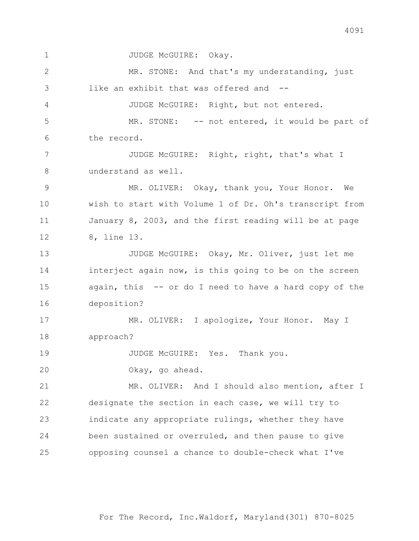1 JUDGE McGUIRE: Okay. 2 MR. STONE: And that's my understanding, just 3 like an exhibit that was offered and -- 4 JUDGE McGUIRE: Right, but not entered. 5 MR. STONE: -- not entered, it would be part of 6 the record. 7 JUDGE McGUIRE: Right, right, that's what I 8 understand as well. 9 MR. OLIVER: Okay, thank you, Your Honor. We 10 wish to start with Volume 1 of Dr. Oh's transcript from 11 January 8, 2003, and the first reading will be at page 12 8, line 13. 13 JUDGE McGUIRE: Okay, Mr. Oliver, just let me 14 interject again now, is this going to be on the screen 15 again, this -- or do I need to have a hard copy of the 16 deposition? 17 MR. OLIVER: I apologize, Your Honor. May I 18 approach? 19 JUDGE McGUIRE: Yes. Thank you. 20 Okay, go ahead. 21 MR. OLIVER: And I should also mention, after I 22 designate the section in each case, we will try to 23 indicate any appropriate rulings, whether they have 24 been sustained or overruled, and then pause to give 25 opposing counsel a chance to double-check what I've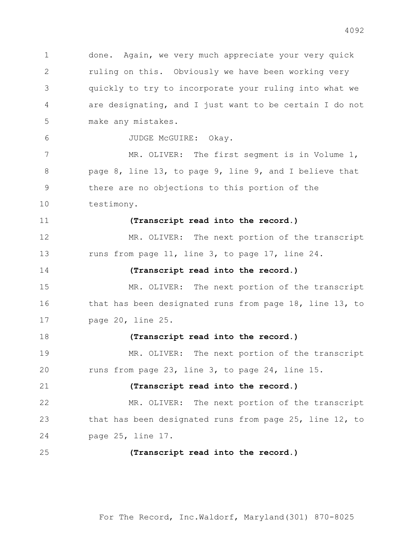done. Again, we very much appreciate your very quick ruling on this. Obviously we have been working very quickly to try to incorporate your ruling into what we are designating, and I just want to be certain I do not make any mistakes. 6 JUDGE McGUIRE: Okay. 7 MR. OLIVER: The first segment is in Volume 1, page 8, line 13, to page 9, line 9, and I believe that there are no objections to this portion of the testimony. **(Transcript read into the record.)** 12 MR. OLIVER: The next portion of the transcript 13 runs from page 11, line 3, to page 17, line 24. **(Transcript read into the record.)** 15 MR. OLIVER: The next portion of the transcript that has been designated runs from page 18, line 13, to page 20, line 25. **(Transcript read into the record.)** 19 MR. OLIVER: The next portion of the transcript runs from page 23, line 3, to page 24, line 15. **(Transcript read into the record.)** 22 MR. OLIVER: The next portion of the transcript that has been designated runs from page 25, line 12, to page 25, line 17. **(Transcript read into the record.)**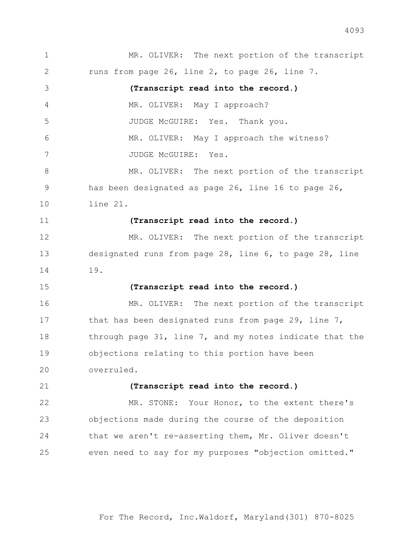1 MR. OLIVER: The next portion of the transcript 2 runs from page 26, line 2, to page 26, line 7. 3 **(Transcript read into the record.)** 4 MR. OLIVER: May I approach? 5 JUDGE McGUIRE: Yes. Thank you. 6 MR. OLIVER: May I approach the witness? 7 JUDGE McGUIRE: Yes. 8 MR. OLIVER: The next portion of the transcript 9 has been designated as page 26, line 16 to page 26, 10 line 21. 11 **(Transcript read into the record.)** 12 MR. OLIVER: The next portion of the transcript 13 designated runs from page 28, line 6, to page 28, line 14 19. 15 **(Transcript read into the record.)** 16 MR. OLIVER: The next portion of the transcript 17 that has been designated runs from page 29, line 7, 18 through page 31, line 7, and my notes indicate that the 19 objections relating to this portion have been 20 overruled. 21 **(Transcript read into the record.)** 22 MR. STONE: Your Honor, to the extent there's 23 objections made during the course of the deposition 24 that we aren't re-asserting them, Mr. Oliver doesn't 25 even need to say for my purposes "objection omitted."

For The Record, Inc.Waldorf, Maryland(301) 870-8025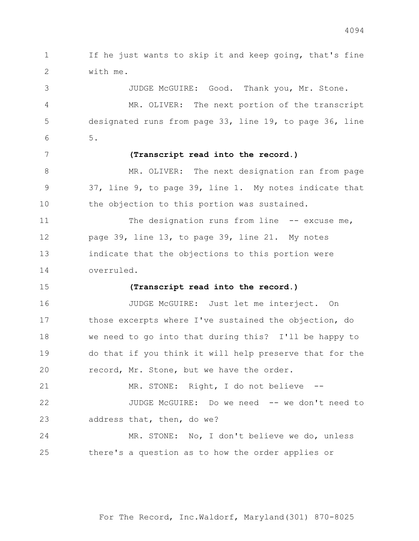If he just wants to skip it and keep going, that's fine with me. 3 JUDGE McGUIRE: Good. Thank you, Mr. Stone. 4 MR. OLIVER: The next portion of the transcript designated runs from page 33, line 19, to page 36, line 5. **(Transcript read into the record.)** 8 MR. OLIVER: The next designation ran from page 37, line 9, to page 39, line 1. My notes indicate that the objection to this portion was sustained. 11 The designation runs from line -- excuse me, page 39, line 13, to page 39, line 21. My notes indicate that the objections to this portion were overruled.  **(Transcript read into the record.)** JUDGE McGUIRE: Just let me interject. On those excerpts where I've sustained the objection, do we need to go into that during this? I'll be happy to do that if you think it will help preserve that for the record, Mr. Stone, but we have the order. 21 MR. STONE: Right, I do not believe -- 22 JUDGE McGUIRE: Do we need -- we don't need to address that, then, do we? 24 MR. STONE: No, I don't believe we do, unless there's a question as to how the order applies or

For The Record, Inc.Waldorf, Maryland(301) 870-8025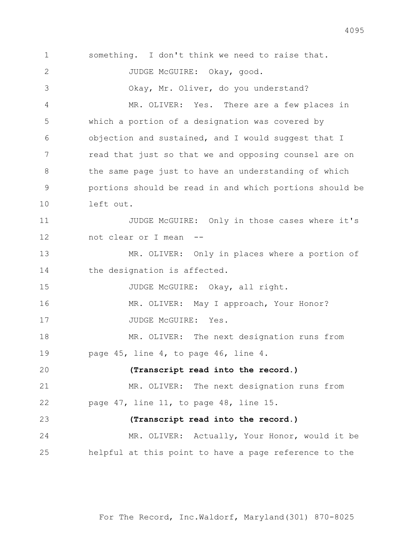1 something. I don't think we need to raise that. 2 JUDGE McGUIRE: Okay, good. 3 Okay, Mr. Oliver, do you understand? 4 MR. OLIVER: Yes. There are a few places in 5 which a portion of a designation was covered by 6 objection and sustained, and I would suggest that I 7 read that just so that we and opposing counsel are on 8 the same page just to have an understanding of which 9 portions should be read in and which portions should be 10 left out. 11 JUDGE McGUIRE: Only in those cases where it's 12 not clear or I mean -- 13 MR. OLIVER: Only in places where a portion of 14 the designation is affected. 15 JUDGE McGUIRE: Okay, all right. 16 MR. OLIVER: May I approach, Your Honor? 17 JUDGE McGUIRE: Yes. 18 MR. OLIVER: The next designation runs from 19 page 45, line 4, to page 46, line 4. 20 **(Transcript read into the record.)** 21 MR. OLIVER: The next designation runs from 22 page 47, line 11, to page 48, line 15. 23 **(Transcript read into the record.)** 24 MR. OLIVER: Actually, Your Honor, would it be 25 helpful at this point to have a page reference to the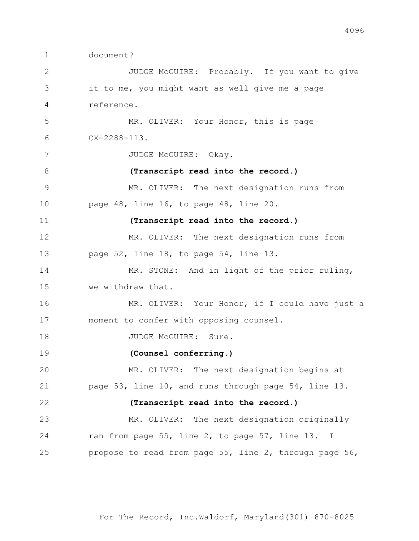document?

2 JUDGE McGUIRE: Probably. If you want to give it to me, you might want as well give me a page reference. 5 MR. OLIVER: Your Honor, this is page CX-2288-113. 7 JUDGE McGUIRE: Okay. **(Transcript read into the record.)** MR. OLIVER: The next designation runs from page 48, line 16, to page 48, line 20. **(Transcript read into the record.)** MR. OLIVER: The next designation runs from page 52, line 18, to page 54, line 13. 14 MR. STONE: And in light of the prior ruling, we withdraw that. 16 MR. OLIVER: Your Honor, if I could have just a moment to confer with opposing counsel. 18 JUDGE McGUIRE: Sure. **(Counsel conferring.)** 20 MR. OLIVER: The next designation begins at page 53, line 10, and runs through page 54, line 13. **(Transcript read into the record.)** MR. OLIVER: The next designation originally 24 ran from page 55, line 2, to page 57, line 13. I propose to read from page 55, line 2, through page 56,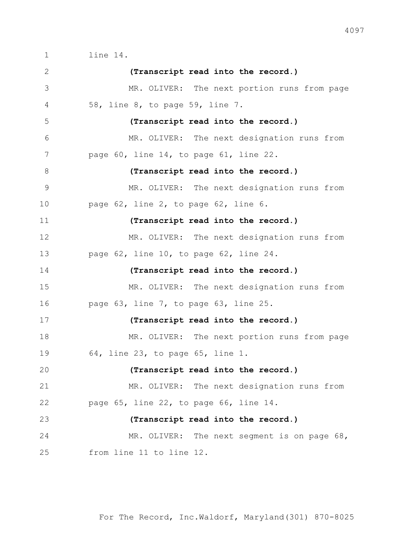line 14.

 **(Transcript read into the record.)** MR. OLIVER: The next portion runs from page 58, line 8, to page 59, line 7. **(Transcript read into the record.)** MR. OLIVER: The next designation runs from 7 page 60, line 14, to page 61, line 22. **(Transcript read into the record.)** MR. OLIVER: The next designation runs from page 62, line 2, to page 62, line 6. **(Transcript read into the record.)** MR. OLIVER: The next designation runs from page 62, line 10, to page 62, line 24. **(Transcript read into the record.)** MR. OLIVER: The next designation runs from page 63, line 7, to page 63, line 25. **(Transcript read into the record.)** 18 MR. OLIVER: The next portion runs from page 64, line 23, to page 65, line 1. **(Transcript read into the record.)** MR. OLIVER: The next designation runs from page 65, line 22, to page 66, line 14. **(Transcript read into the record.)** MR. OLIVER: The next segment is on page 68, from line 11 to line 12.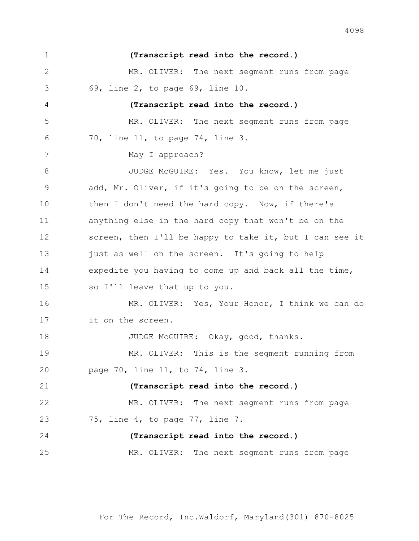**(Transcript read into the record.)** MR. OLIVER: The next segment runs from page 69, line 2, to page 69, line 10. **(Transcript read into the record.)** MR. OLIVER: The next segment runs from page 70, line 11, to page 74, line 3. 7 May I approach? 8 JUDGE McGUIRE: Yes. You know, let me just add, Mr. Oliver, if it's going to be on the screen, 10 then I don't need the hard copy. Now, if there's anything else in the hard copy that won't be on the screen, then I'll be happy to take it, but I can see it 13 just as well on the screen. It's going to help expedite you having to come up and back all the time, so I'll leave that up to you. 16 MR. OLIVER: Yes, Your Honor, I think we can do it on the screen. 18 JUDGE McGUIRE: Okay, good, thanks. 19 MR. OLIVER: This is the segment running from page 70, line 11, to 74, line 3. **(Transcript read into the record.)** MR. OLIVER: The next segment runs from page 75, line 4, to page 77, line 7. **(Transcript read into the record.)** MR. OLIVER: The next segment runs from page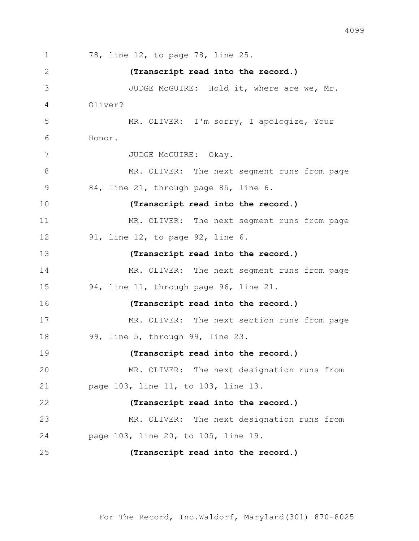78, line 12, to page 78, line 25.  **(Transcript read into the record.)** JUDGE McGUIRE: Hold it, where are we, Mr. Oliver? 5 MR. OLIVER: I'm sorry, I apologize, Your Honor. 7 JUDGE McGUIRE: Okay. 8 MR. OLIVER: The next seqment runs from page 84, line 21, through page 85, line 6. **(Transcript read into the record.)** MR. OLIVER: The next segment runs from page 91, line 12, to page 92, line 6. **(Transcript read into the record.)** 14 MR. OLIVER: The next segment runs from page 94, line 11, through page 96, line 21. **(Transcript read into the record.)** MR. OLIVER: The next section runs from page 99, line 5, through 99, line 23. **(Transcript read into the record.)** MR. OLIVER: The next designation runs from page 103, line 11, to 103, line 13. **(Transcript read into the record.)** MR. OLIVER: The next designation runs from page 103, line 20, to 105, line 19. **(Transcript read into the record.)**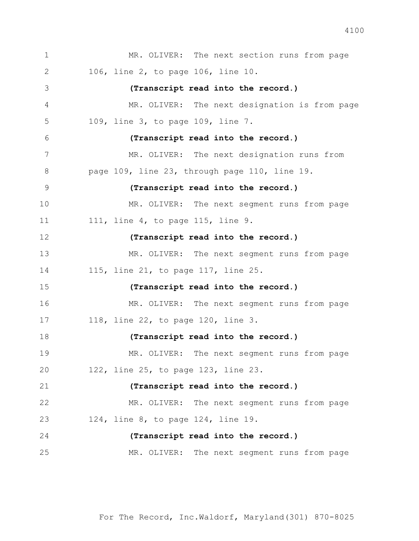1 MR. OLIVER: The next section runs from page 106, line 2, to page 106, line 10. **(Transcript read into the record.)** MR. OLIVER: The next designation is from page 109, line 3, to page 109, line 7. **(Transcript read into the record.)** 7 MR. OLIVER: The next designation runs from page 109, line 23, through page 110, line 19. **(Transcript read into the record.)** MR. OLIVER: The next segment runs from page 11 111, line 4, to page 115, line 9. **(Transcript read into the record.)** 13 MR. OLIVER: The next segment runs from page 115, line 21, to page 117, line 25. **(Transcript read into the record.)** 16 MR. OLIVER: The next seqment runs from page 118, line 22, to page 120, line 3. **(Transcript read into the record.)** MR. OLIVER: The next segment runs from page 122, line 25, to page 123, line 23. **(Transcript read into the record.)** MR. OLIVER: The next segment runs from page 124, line 8, to page 124, line 19. **(Transcript read into the record.)** MR. OLIVER: The next segment runs from page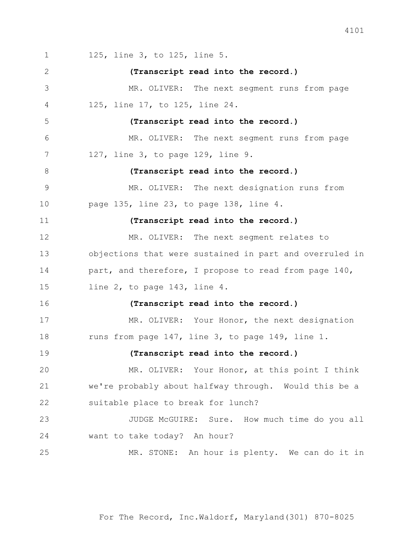125, line 3, to 125, line 5. **(Transcript read into the record.)** MR. OLIVER: The next segment runs from page 125, line 17, to 125, line 24. **(Transcript read into the record.)** MR. OLIVER: The next segment runs from page 127, line 3, to page 129, line 9. **(Transcript read into the record.)** MR. OLIVER: The next designation runs from page 135, line 23, to page 138, line 4. **(Transcript read into the record.)** MR. OLIVER: The next segment relates to objections that were sustained in part and overruled in 14 part, and therefore, I propose to read from page 140, line 2, to page 143, line 4. **(Transcript read into the record.)** MR. OLIVER: Your Honor, the next designation 18 runs from page 147, line 3, to page 149, line 1. **(Transcript read into the record.)** MR. OLIVER: Your Honor, at this point I think we're probably about halfway through. Would this be a suitable place to break for lunch? 23 JUDGE McGUIRE: Sure. How much time do you all want to take today? An hour? 25 MR. STONE: An hour is plenty. We can do it in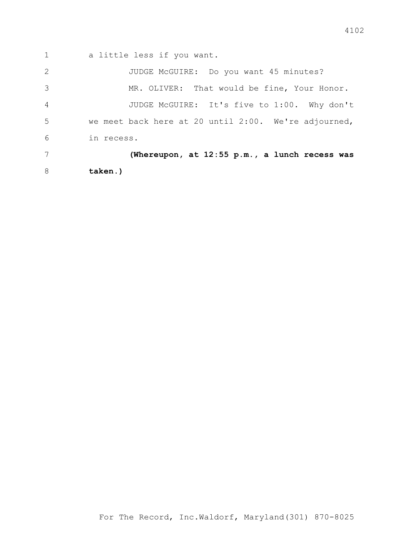1 a little less if you want.

2 JUDGE McGUIRE: Do you want 45 minutes? 3 MR. OLIVER: That would be fine, Your Honor. 4 JUDGE McGUIRE: It's five to 1:00. Why don't 5 we meet back here at 20 until 2:00. We're adjourned, 6 in recess. 7 **(Whereupon, at 12:55 p.m., a lunch recess was** 

8 **taken.)**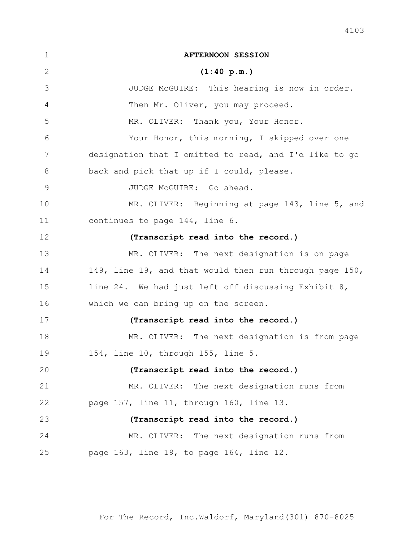| $\mathbf 1$ | <b>AFTERNOON SESSION</b>                                |
|-------------|---------------------------------------------------------|
| 2           | (1:40 p.m.)                                             |
| 3           | JUDGE McGUIRE: This hearing is now in order.            |
| 4           | Then Mr. Oliver, you may proceed.                       |
| 5           | MR. OLIVER: Thank you, Your Honor.                      |
| 6           | Your Honor, this morning, I skipped over one            |
| 7           | designation that I omitted to read, and I'd like to go  |
| $8\,$       | back and pick that up if I could, please.               |
| $\mathsf 9$ | JUDGE McGUIRE: Go ahead.                                |
| 10          | MR. OLIVER: Beginning at page 143, line 5, and          |
| 11          | continues to page 144, line 6.                          |
| 12          | (Transcript read into the record.)                      |
| 13          | MR. OLIVER: The next designation is on page             |
| 14          | 149, line 19, and that would then run through page 150, |
| 15          | line 24. We had just left off discussing Exhibit 8,     |
| 16          | which we can bring up on the screen.                    |
| 17          | (Transcript read into the record.)                      |
| 18          | MR. OLIVER: The next designation is from page           |
| 19          | 154, line 10, through 155, line 5.                      |
| 20          | (Transcript read into the record.)                      |
| 21          | MR. OLIVER: The next designation runs from              |
| 22          | page 157, line 11, through 160, line 13.                |
| 23          | (Transcript read into the record.)                      |
| 24          | MR. OLIVER: The next designation runs from              |
| 25          | page 163, line 19, to page 164, line 12.                |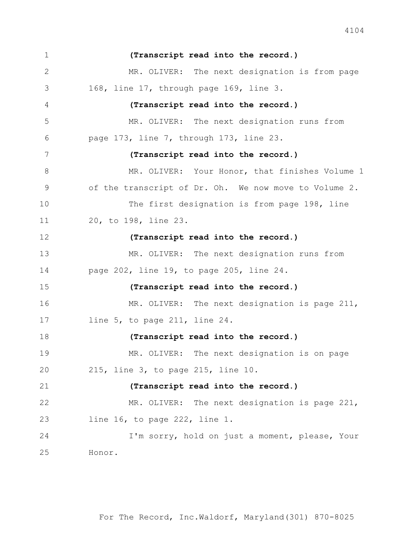**(Transcript read into the record.)** MR. OLIVER: The next designation is from page 168, line 17, through page 169, line 3. **(Transcript read into the record.)** MR. OLIVER: The next designation runs from page 173, line 7, through 173, line 23. **(Transcript read into the record.)** 8 MR. OLIVER: Your Honor, that finishes Volume 1 of the transcript of Dr. Oh. We now move to Volume 2. 10 The first designation is from page 198, line 20, to 198, line 23. **(Transcript read into the record.)** 13 MR. OLIVER: The next designation runs from page 202, line 19, to page 205, line 24. **(Transcript read into the record.)** 16 MR. OLIVER: The next designation is page 211, line 5, to page 211, line 24. **(Transcript read into the record.)** 19 MR. OLIVER: The next designation is on page 215, line 3, to page 215, line 10. **(Transcript read into the record.)** 22 MR. OLIVER: The next designation is page 221, line 16, to page 222, line 1. 24 I'm sorry, hold on just a moment, please, Your Honor.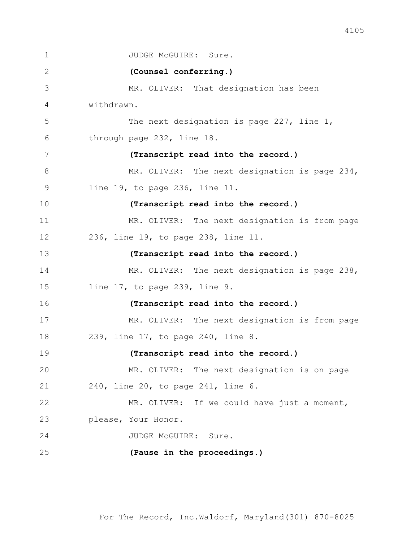1 JUDGE McGUIRE: Sure. 2 **(Counsel conferring.)** 3 MR. OLIVER: That designation has been 4 withdrawn. 5 The next designation is page 227, line 1, 6 through page 232, line 18. 7 **(Transcript read into the record.)** 8 MR. OLIVER: The next designation is page 234, 9 line 19, to page 236, line 11. 10 **(Transcript read into the record.)** 11 MR. OLIVER: The next designation is from page 12 236, line 19, to page 238, line 11. 13 **(Transcript read into the record.)** 14 MR. OLIVER: The next designation is page 238, 15 line 17, to page 239, line 9. 16 **(Transcript read into the record.)** 17 MR. OLIVER: The next designation is from page 18 239, line 17, to page 240, line 8. 19 **(Transcript read into the record.)** 20 MR. OLIVER: The next designation is on page 21 240, line 20, to page 241, line 6. 22 MR. OLIVER: If we could have just a moment, 23 please, Your Honor. 24 JUDGE McGUIRE: Sure. 25 **(Pause in the proceedings.)**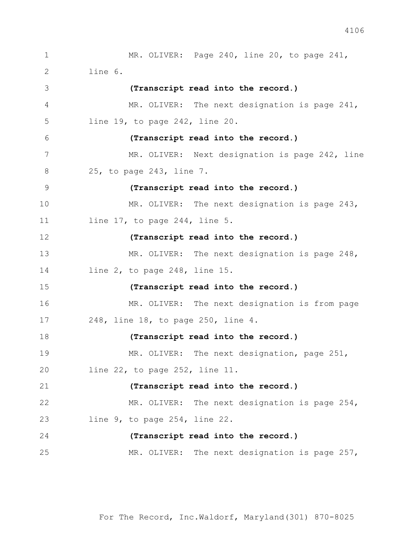1 MR. OLIVER: Page 240, line 20, to page 241, line 6. **(Transcript read into the record.)** 4 MR. OLIVER: The next designation is page 241, line 19, to page 242, line 20. **(Transcript read into the record.)** 7 MR. OLIVER: Next designation is page 242, line 25, to page 243, line 7. **(Transcript read into the record.)** 10 MR. OLIVER: The next designation is page 243, line 17, to page 244, line 5. **(Transcript read into the record.)** 13 MR. OLIVER: The next designation is page 248, line 2, to page 248, line 15. **(Transcript read into the record.)** 16 MR. OLIVER: The next designation is from page 248, line 18, to page 250, line 4. **(Transcript read into the record.)** 19 MR. OLIVER: The next designation, page 251, line 22, to page 252, line 11. **(Transcript read into the record.)** 22 MR. OLIVER: The next designation is page 254, line 9, to page 254, line 22. **(Transcript read into the record.)** 25 MR. OLIVER: The next designation is page 257,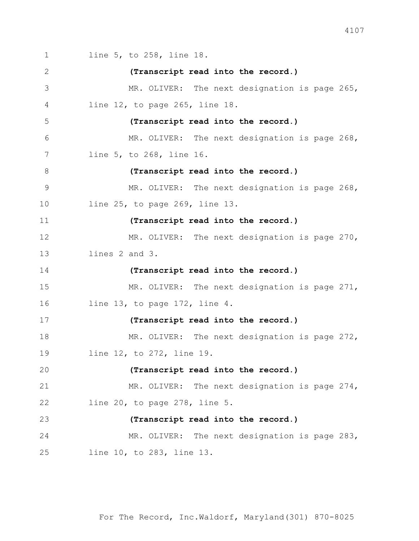1 line 5, to 258, line 18. **(Transcript read into the record.)** 3 MR. OLIVER: The next designation is page 265, line 12, to page 265, line 18. **(Transcript read into the record.)** 6 MR. OLIVER: The next designation is page 268, line 5, to 268, line 16. **(Transcript read into the record.)** 9 MR. OLIVER: The next designation is page 268, line 25, to page 269, line 13. **(Transcript read into the record.)** 12 MR. OLIVER: The next designation is page 270, lines 2 and 3. **(Transcript read into the record.)** 15 MR. OLIVER: The next designation is page 271, line 13, to page 172, line 4. **(Transcript read into the record.)** 18 MR. OLIVER: The next designation is page 272, line 12, to 272, line 19. **(Transcript read into the record.)** 21 MR. OLIVER: The next designation is page 274, line 20, to page 278, line 5. **(Transcript read into the record.)** 24 MR. OLIVER: The next designation is page 283, line 10, to 283, line 13.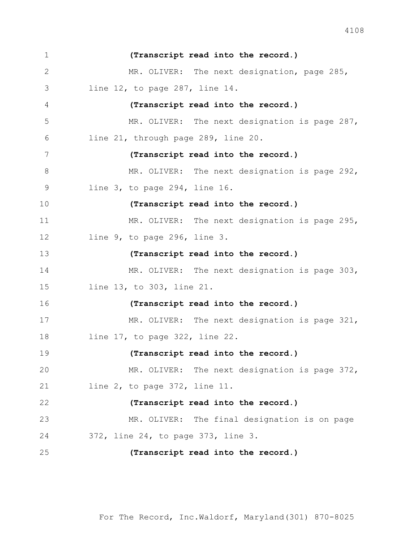| $\mathbf 1$ | (Transcript read into the record.)            |
|-------------|-----------------------------------------------|
| 2           | MR. OLIVER: The next designation, page 285,   |
| 3           | line $12$ , to page $287$ , line $14$ .       |
| 4           | (Transcript read into the record.)            |
| 5           | MR. OLIVER: The next designation is page 287, |
| 6           | line 21, through page 289, line 20.           |
| 7           | (Transcript read into the record.)            |
| $8\,$       | MR. OLIVER: The next designation is page 292, |
| 9           | line $3$ , to page $294$ , line $16$ .        |
| 10          | (Transcript read into the record.)            |
| 11          | MR. OLIVER: The next designation is page 295, |
| 12          | line 9, to page 296, line 3.                  |
| 13          | (Transcript read into the record.)            |
| 14          | MR. OLIVER: The next designation is page 303, |
| 15          | line 13, to 303, line 21.                     |
| 16          | (Transcript read into the record.)            |
| 17          | MR. OLIVER: The next designation is page 321, |
| 18          | line $17$ , to page $322$ , line $22$ .       |
| 19          | (Transcript read into the record.)            |
| 20          | MR. OLIVER: The next designation is page 372, |
| 21          | line $2$ , to page $372$ , line $11$ .        |
| 22          | (Transcript read into the record.)            |
| 23          | MR. OLIVER: The final designation is on page  |
| 24          | 372, line 24, to page 373, line 3.            |
| 25          | (Transcript read into the record.)            |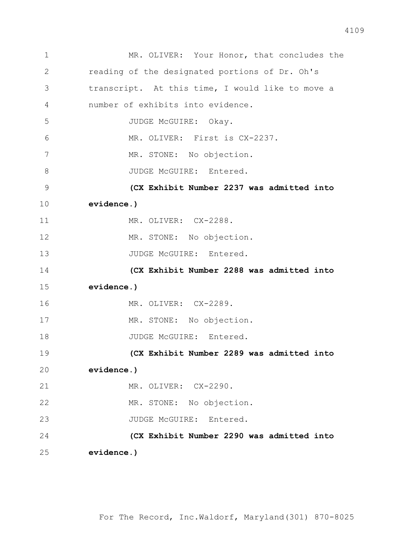| $\mathbf 1$   | MR. OLIVER: Your Honor, that concludes the       |
|---------------|--------------------------------------------------|
| $\mathbf{2}$  | reading of the designated portions of Dr. Oh's   |
| 3             | transcript. At this time, I would like to move a |
| 4             | number of exhibits into evidence.                |
| 5             | JUDGE McGUIRE: Okay.                             |
| 6             | MR. OLIVER: First is CX-2237.                    |
| 7             | MR. STONE: No objection.                         |
| $8\,$         | JUDGE McGUIRE: Entered.                          |
| $\mathcal{G}$ | (CX Exhibit Number 2237 was admitted into        |
| 10            | evidence.)                                       |
| 11            | MR. OLIVER: CX-2288.                             |
| 12            | MR. STONE: No objection.                         |
| 13            | JUDGE McGUIRE: Entered.                          |
| 14            | (CX Exhibit Number 2288 was admitted into        |
| 15            | evidence.)                                       |
| 16            | MR. OLIVER: CX-2289.                             |
| 17            | MR. STONE: No objection.                         |
| 18            | JUDGE McGUIRE: Entered.                          |
| 19            | (CX Exhibit Number 2289 was admitted into        |
| 20            | evidence.)                                       |
| 21            | MR. OLIVER: CX-2290.                             |
| 22            | MR. STONE: No objection.                         |
| 23            | JUDGE McGUIRE: Entered.                          |
| 24            | (CX Exhibit Number 2290 was admitted into        |
| 25            | evidence.)                                       |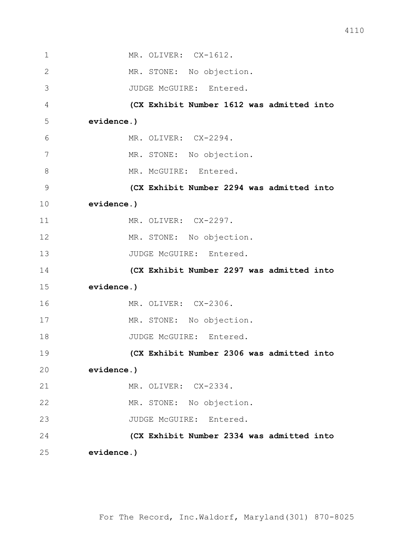| $\mathbf 1$    | MR. OLIVER: CX-1612.                      |
|----------------|-------------------------------------------|
| $\overline{2}$ | MR. STONE: No objection.                  |
| 3              | JUDGE McGUIRE: Entered.                   |
| 4              | (CX Exhibit Number 1612 was admitted into |
| 5              | evidence.)                                |
| 6              | MR. OLIVER: CX-2294.                      |
| 7              | MR. STONE: No objection.                  |
| 8              | MR. McGUIRE: Entered.                     |
| $\mathcal{G}$  | (CX Exhibit Number 2294 was admitted into |
| 10             | evidence.)                                |
| 11             | MR. OLIVER: CX-2297.                      |
| 12             | MR. STONE: No objection.                  |
| 13             | JUDGE McGUIRE: Entered.                   |
| 14             | (CX Exhibit Number 2297 was admitted into |
| 15             | evidence.)                                |
| 16             | MR. OLIVER: CX-2306.                      |
| 17             | MR. STONE: No objection.                  |
| 18             | JUDGE McGUIRE: Entered.                   |
| 19             | (CX Exhibit Number 2306 was admitted into |
| 20             | evidence.)                                |
| 21             | MR. OLIVER: CX-2334.                      |
| 22             | MR. STONE: No objection.                  |
| 23             | JUDGE McGUIRE: Entered.                   |
| 24             | (CX Exhibit Number 2334 was admitted into |
| 25             | evidence.)                                |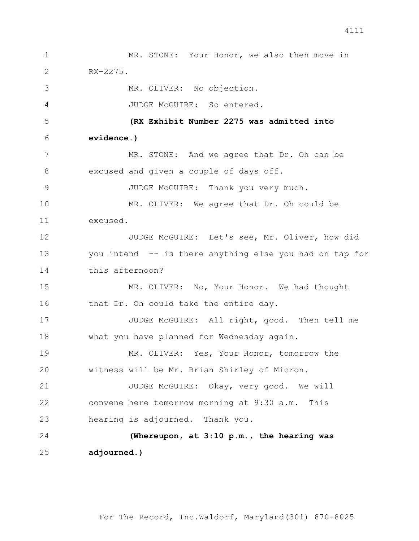1 MR. STONE: Your Honor, we also then move in 2 RX-2275. 3 MR. OLIVER: No objection. 4 JUDGE McGUIRE: So entered. 5 **(RX Exhibit Number 2275 was admitted into**  6 **evidence.)** 7 MR. STONE: And we agree that Dr. Oh can be 8 excused and given a couple of days off. 9 JUDGE McGUIRE: Thank you very much. 10 MR. OLIVER: We agree that Dr. Oh could be 11 excused. 12 JUDGE McGUIRE: Let's see, Mr. Oliver, how did 13 you intend -- is there anything else you had on tap for 14 this afternoon? 15 MR. OLIVER: No, Your Honor. We had thought 16 that Dr. Oh could take the entire day. 17 JUDGE McGUIRE: All right, good. Then tell me 18 what you have planned for Wednesday again. 19 MR. OLIVER: Yes, Your Honor, tomorrow the 20 witness will be Mr. Brian Shirley of Micron. 21 JUDGE McGUIRE: Okay, very good. We will 22 convene here tomorrow morning at 9:30 a.m. This 23 hearing is adjourned. Thank you. 24 **(Whereupon, at 3:10 p.m., the hearing was**  25 **adjourned.)**